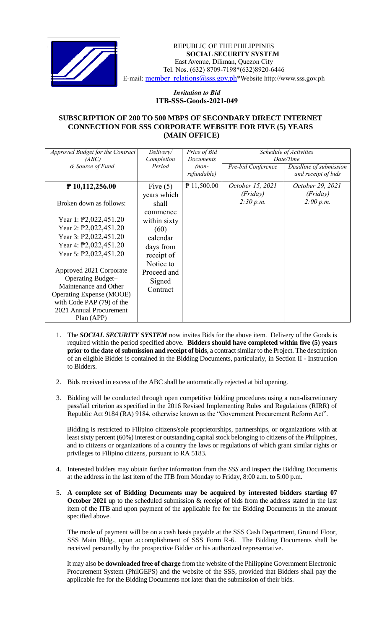

 *Invitation to Bid* REPUBLIC OF THE PHILIPPINES **SOCIAL SECURITY SYSTEM** East Avenue, Diliman, Quezon City Tel. Nos. (632) 8709-7198\*(632)8920-6446 E-mail: member\_relations@sss.gov.ph\*Website http://www.sss.gov.ph

## *Invitation to Bid*  **ITB-SSS-Goods-2021-049**

## **SUBSCRIPTION OF 200 TO 500 MBPS OF SECONDARY DIRECT INTERNET CONNECTION FOR SSS CORPORATE WEBSITE FOR FIVE (5) YEARS (MAIN OFFICE)**

| Approved Budget for the Contract<br>(ABC)                                                                                                                                                                                                 | Delivery/<br>Completion                                                              | Price of Bid<br><b>Documents</b> | Schedule of Activities<br>Date/Time       |                                               |
|-------------------------------------------------------------------------------------------------------------------------------------------------------------------------------------------------------------------------------------------|--------------------------------------------------------------------------------------|----------------------------------|-------------------------------------------|-----------------------------------------------|
| & Source of Fund                                                                                                                                                                                                                          | Period                                                                               | $(non-$<br>refundable)           | Pre-bid Conference                        | Deadline of submission<br>and receipt of bids |
| $P$ 10,112,256.00<br>Broken down as follows:                                                                                                                                                                                              | Five $(5)$<br>years which<br>shall                                                   | $P$ 11,500.00                    | October 15, 2021<br>(Friday)<br>2:30 p.m. | October 29, 2021<br>(Friday)<br>2:00 p.m.     |
| Year 1: $\overline{P}2,022,451.20$<br>Year 2: $\textcolor{blue}{\text{P2}},022,451.20$<br>Year 3: $\overline{P}2,022,451.20$<br>Year 4: $\overline{P}2,022,451.20$<br>Year 5: $\textcolor{blue}{\text{P2}}\textcolor{blue}{0.022,451.20}$ | commence<br>within sixty<br>(60)<br>calendar<br>days from<br>receipt of<br>Notice to |                                  |                                           |                                               |
| Approved 2021 Corporate<br><b>Operating Budget-</b><br>Maintenance and Other<br><b>Operating Expense (MOOE)</b><br>with Code PAP (79) of the<br>2021 Annual Procurement<br>Plan (APP)                                                     | Proceed and<br>Signed<br>Contract                                                    |                                  |                                           |                                               |

- 1. The *SOCIAL SECURITY SYSTEM* now invites Bids for the above item. Delivery of the Goods is required within the period specified above. **Bidders should have completed within five (5) years prior to the date of submission and receipt of bids**, a contract similar to the Project. The description of an eligible Bidder is contained in the Bidding Documents, particularly, in Section II - Instruction to Bidders.
- 2. Bids received in excess of the ABC shall be automatically rejected at bid opening.
- 3. Bidding will be conducted through open competitive bidding procedures using a non-discretionary pass/fail criterion as specified in the 2016 Revised Implementing Rules and Regulations (RIRR) of Republic Act 9184 (RA) 9184, otherwise known as the "Government Procurement Reform Act".

Bidding is restricted to Filipino citizens/sole proprietorships, partnerships, or organizations with at least sixty percent (60%) interest or outstanding capital stock belonging to citizens of the Philippines, and to citizens or organizations of a country the laws or regulations of which grant similar rights or privileges to Filipino citizens, pursuant to RA 5183.

- 4. Interested bidders may obtain further information from the *SSS* and inspect the Bidding Documents at the address in the last item of the ITB from Monday to Friday, 8:00 a.m. to 5:00 p.m.
- 5. **A complete set of Bidding Documents may be acquired by interested bidders starting 07 October 2021** up to the scheduled submission & receipt of bids from the address stated in the last item of the ITB and upon payment of the applicable fee for the Bidding Documents in the amount specified above.

The mode of payment will be on a cash basis payable at the SSS Cash Department, Ground Floor, SSS Main Bldg., upon accomplishment of SSS Form R-6. The Bidding Documents shall be received personally by the prospective Bidder or his authorized representative.

It may also be **downloaded free of charge** from the website of the Philippine Government Electronic Procurement System (PhilGEPS) and the website of the SSS*,* provided that Bidders shall pay the applicable fee for the Bidding Documents not later than the submission of their bids.